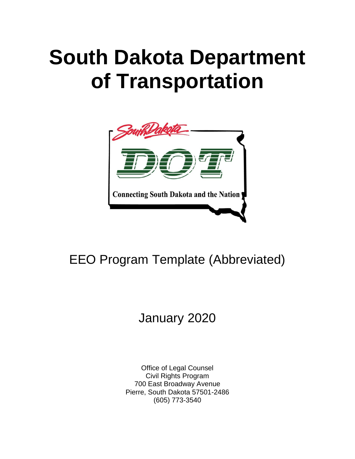# **South Dakota Department of Transportation**



# EEO Program Template (Abbreviated)

# January 2020

Office of Legal Counsel Civil Rights Program 700 East Broadway Avenue Pierre, South Dakota 57501-2486 (605) 773-3540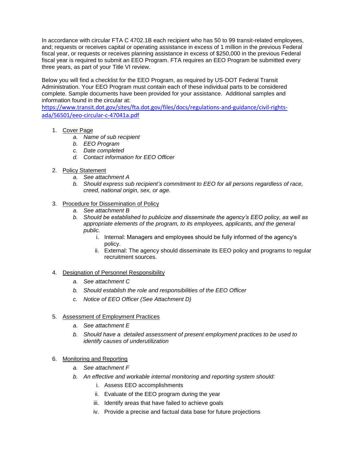In accordance with circular FTA C 4702.1B each recipient who has 50 to 99 transit-related employees, and; requests or receives capital or operating assistance in excess of 1 million in the previous Federal fiscal year, or requests or receives planning assistance in excess of \$250,000 in the previous Federal fiscal year is required to submit an EEO Program. FTA requires an EEO Program be submitted every three years, as part of your Title VI review.

Below you will find a checklist for the EEO Program, as required by US-DOT Federal Transit Administration. Your EEO Program must contain each of these individual parts to be considered complete. Sample documents have been provided for your assistance. Additional samples and information found in the circular at:

[https://www.transit.dot.gov/sites/fta.dot.gov/files/docs/regulations-and-guidance/civil-rights](https://www.transit.dot.gov/sites/fta.dot.gov/files/docs/regulations-and-guidance/civil-rights-ada/56501/eeo-circular-c-47041a.pdf)[ada/56501/eeo-circular-c-47041a.pdf](https://www.transit.dot.gov/sites/fta.dot.gov/files/docs/regulations-and-guidance/civil-rights-ada/56501/eeo-circular-c-47041a.pdf)

- 1. Cover Page
	- *a. Name of sub recipient*
	- *b. EEO Program*
	- *c. Date completed*
	- *d. Contact information for EEO Officer*
- 2. Policy Statement
	- *a. See attachment A*
	- *b. Should express sub recipient's commitment to EEO for all persons regardless of race, creed, national origin, sex, or age.*
- 3. Procedure for Dissemination of Policy
	- *a. See attachment B*
	- *b. Should be established to publicize and disseminate the agency's EEO policy, as well as appropriate elements of the program, to its employees, applicants, and the general public.*
		- i. Internal: Managers and employees should be fully informed of the agency's policy.
		- ii. External: The agency should disseminate its EEO policy and programs to regular recruitment sources.
- 4. Designation of Personnel Responsibility
	- *a. See attachment C*
	- *b. Should establish the role and responsibilities of the EEO Officer*
	- *c. Notice of EEO Officer (See Attachment D)*
- 5. Assessment of Employment Practices
	- *a. See attachment E*
	- *b. Should have a detailed assessment of present employment practices to be used to identify causes of underutilization*
- 6. Monitoring and Reporting
	- *a. See attachment F*
	- *b. An effective and workable internal monitoring and reporting system should:*
		- i. Assess EEO accomplishments
		- ii. Evaluate of the EEO program during the year
		- iii. Identify areas that have failed to achieve goals
		- iv. Provide a precise and factual data base for future projections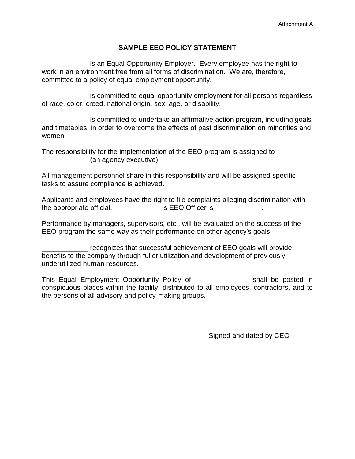# **SAMPLE EEO POLICY STATEMENT**

is an Equal Opportunity Employer. Every employee has the right to work in an environment free from all forms of discrimination. We are, therefore, committed to a policy of equal employment opportunity.

\_\_\_\_\_\_\_\_\_\_\_\_ is committed to equal opportunity employment for all persons regardless of race, color, creed, national origin, sex, age, or disability.

is committed to undertake an affirmative action program, including goals and timetables, in order to overcome the effects of past discrimination on minorities and women.

The responsibility for the implementation of the EEO program is assigned to (an agency executive).

All management personnel share in this responsibility and will be assigned specific tasks to assure compliance is achieved.

Applicants and employees have the right to file complaints alleging discrimination with the appropriate official. The set of the appropriate official.

Performance by managers, supervisors, etc., will be evaluated on the success of the EEO program the same way as their performance on other agency's goals.

\_\_\_\_\_\_\_\_\_\_\_\_ recognizes that successful achievement of EEO goals will provide benefits to the company through fuller utilization and development of previously underutilized human resources.

This Equal Employment Opportunity Policy of \_\_\_\_\_\_\_\_\_\_\_\_\_\_ shall be posted in conspicuous places within the facility, distributed to all employees, contractors, and to the persons of all advisory and policy-making groups.

Signed and dated by CEO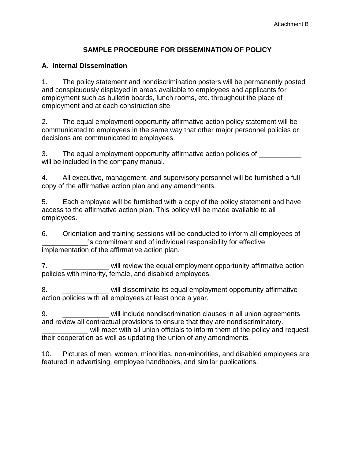# **SAMPLE PROCEDURE FOR DISSEMINATION OF POLICY**

# **A. Internal Dissemination**

1. The policy statement and nondiscrimination posters will be permanently posted and conspicuously displayed in areas available to employees and applicants for employment such as bulletin boards, lunch rooms, etc. throughout the place of employment and at each construction site.

2. The equal employment opportunity affirmative action policy statement will be communicated to employees in the same way that other major personnel policies or decisions are communicated to employees.

3. The equal employment opportunity affirmative action policies of will be included in the company manual.

4. All executive, management, and supervisory personnel will be furnished a full copy of the affirmative action plan and any amendments.

5. Each employee will be furnished with a copy of the policy statement and have access to the affirmative action plan. This policy will be made available to all employees.

6. Orientation and training sessions will be conducted to inform all employees of 's commitment and of individual responsibility for effective implementation of the affirmative action plan.

7. **Example 20** will review the equal employment opportunity affirmative action policies with minority, female, and disabled employees.

8. **Example 2.** Will disseminate its equal employment opportunity affirmative action policies with all employees at least once a year.

9. \_\_\_\_\_\_\_\_\_\_\_\_ will include nondiscrimination clauses in all union agreements and review all contractual provisions to ensure that they are nondiscriminatory. will meet with all union officials to inform them of the policy and request

their cooperation as well as updating the union of any amendments.

10. Pictures of men, women, minorities, non-minorities, and disabled employees are featured in advertising, employee handbooks, and similar publications.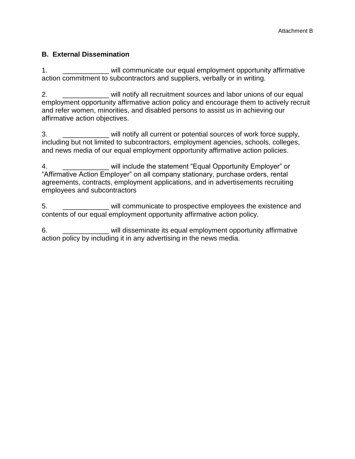# **B. External Dissemination**

1. \_\_\_\_\_\_\_\_\_\_\_\_ will communicate our equal employment opportunity affirmative action commitment to subcontractors and suppliers, verbally or in writing.

2. **\_\_\_\_\_\_\_\_\_\_\_** will notify all recruitment sources and labor unions of our equal employment opportunity affirmative action policy and encourage them to actively recruit and refer women, minorities, and disabled persons to assist us in achieving our affirmative action objectives.

3. \_\_\_\_\_\_\_\_\_\_\_\_ will notify all current or potential sources of work force supply, including but not limited to subcontractors, employment agencies, schools, colleges, and news media of our equal employment opportunity affirmative action policies.

4. **Example 2. The Statement "Equal Opportunity Employer" or** "Affirmative Action Employer" on all company stationary, purchase orders, rental agreements, contracts, employment applications, and in advertisements recruiting employees and subcontractors

5. \_\_\_\_\_\_\_\_\_\_\_\_ will communicate to prospective employees the existence and contents of our equal employment opportunity affirmative action policy.

6. \_\_\_\_\_\_\_\_\_\_\_\_ will disseminate its equal employment opportunity affirmative action policy by including it in any advertising in the news media.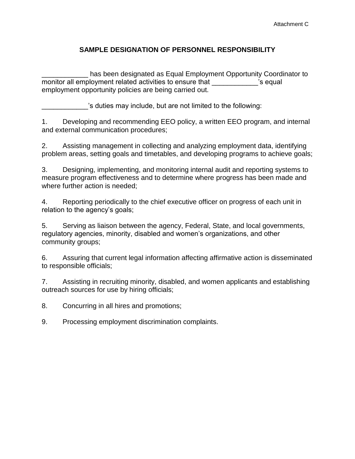# **SAMPLE DESIGNATION OF PERSONNEL RESPONSIBILITY**

has been designated as Equal Employment Opportunity Coordinator to monitor all employment related activities to ensure that The Music Sequal employment opportunity policies are being carried out.

's duties may include, but are not limited to the following:

1. Developing and recommending EEO policy, a written EEO program, and internal and external communication procedures;

2. Assisting management in collecting and analyzing employment data, identifying problem areas, setting goals and timetables, and developing programs to achieve goals;

3. Designing, implementing, and monitoring internal audit and reporting systems to measure program effectiveness and to determine where progress has been made and where further action is needed;

4. Reporting periodically to the chief executive officer on progress of each unit in relation to the agency's goals;

5. Serving as liaison between the agency, Federal, State, and local governments, regulatory agencies, minority, disabled and women's organizations, and other community groups;

6. Assuring that current legal information affecting affirmative action is disseminated to responsible officials;

7. Assisting in recruiting minority, disabled, and women applicants and establishing outreach sources for use by hiring officials;

8. Concurring in all hires and promotions;

9. Processing employment discrimination complaints.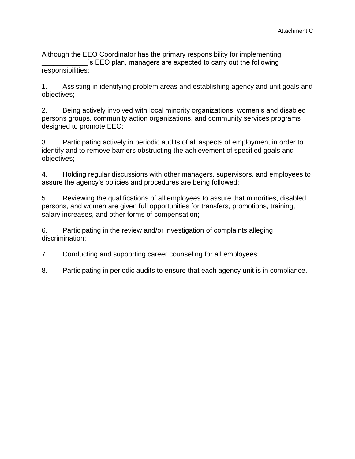Although the EEO Coordinator has the primary responsibility for implementing 's EEO plan, managers are expected to carry out the following responsibilities:

1. Assisting in identifying problem areas and establishing agency and unit goals and objectives;

2. Being actively involved with local minority organizations, women's and disabled persons groups, community action organizations, and community services programs designed to promote EEO;

3. Participating actively in periodic audits of all aspects of employment in order to identify and to remove barriers obstructing the achievement of specified goals and objectives;

4. Holding regular discussions with other managers, supervisors, and employees to assure the agency's policies and procedures are being followed;

5. Reviewing the qualifications of all employees to assure that minorities, disabled persons, and women are given full opportunities for transfers, promotions, training, salary increases, and other forms of compensation;

6. Participating in the review and/or investigation of complaints alleging discrimination;

7. Conducting and supporting career counseling for all employees;

8. Participating in periodic audits to ensure that each agency unit is in compliance.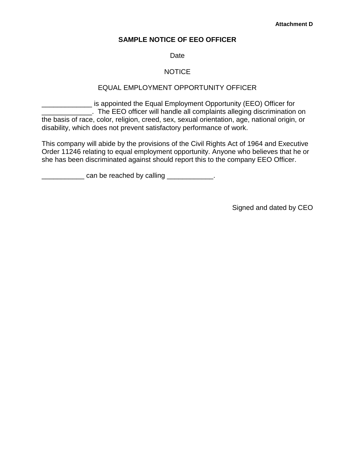# **SAMPLE NOTICE OF EEO OFFICER**

### Date

# NOTICE

# EQUAL EMPLOYMENT OPPORTUNITY OFFICER

**\_\_\_\_\_\_\_\_\_\_** is appointed the Equal Employment Opportunity (EEO) Officer for \_\_\_\_\_\_\_\_\_\_\_\_\_. The EEO officer will handle all complaints alleging discrimination on the basis of race, color, religion, creed, sex, sexual orientation, age, national origin, or disability, which does not prevent satisfactory performance of work.

This company will abide by the provisions of the Civil Rights Act of 1964 and Executive Order 11246 relating to equal employment opportunity. Anyone who believes that he or she has been discriminated against should report this to the company EEO Officer.

**EXECUTE:** Can be reached by calling \_\_\_\_\_\_\_\_\_\_\_\_\_.

Signed and dated by CEO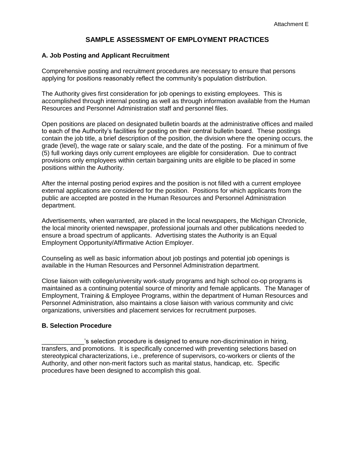# **SAMPLE ASSESSMENT OF EMPLOYMENT PRACTICES**

#### **A. Job Posting and Applicant Recruitment**

Comprehensive posting and recruitment procedures are necessary to ensure that persons applying for positions reasonably reflect the community's population distribution.

The Authority gives first consideration for job openings to existing employees. This is accomplished through internal posting as well as through information available from the Human Resources and Personnel Administration staff and personnel files.

Open positions are placed on designated bulletin boards at the administrative offices and mailed to each of the Authority's facilities for posting on their central bulletin board. These postings contain the job title, a brief description of the position, the division where the opening occurs, the grade (level), the wage rate or salary scale, and the date of the posting. For a minimum of five (5) full working days only current employees are eligible for consideration. Due to contract provisions only employees within certain bargaining units are eligible to be placed in some positions within the Authority.

After the internal posting period expires and the position is not filled with a current employee external applications are considered for the position. Positions for which applicants from the public are accepted are posted in the Human Resources and Personnel Administration department.

Advertisements, when warranted, are placed in the local newspapers, the Michigan Chronicle, the local minority oriented newspaper, professional journals and other publications needed to ensure a broad spectrum of applicants. Advertising states the Authority is an Equal Employment Opportunity/Affirmative Action Employer.

Counseling as well as basic information about job postings and potential job openings is available in the Human Resources and Personnel Administration department.

Close liaison with college/university work-study programs and high school co-op programs is maintained as a continuing potential source of minority and female applicants. The Manager of Employment, Training & Employee Programs, within the department of Human Resources and Personnel Administration, also maintains a close liaison with various community and civic organizations, universities and placement services for recruitment purposes.

#### **B. Selection Procedure**

's selection procedure is designed to ensure non-discrimination in hiring, transfers, and promotions. It is specifically concerned with preventing selections based on stereotypical characterizations, i.e., preference of supervisors, co-workers or clients of the Authority, and other non-merit factors such as marital status, handicap, etc. Specific procedures have been designed to accomplish this goal.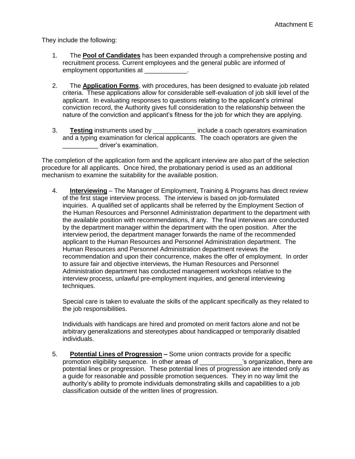They include the following:

- 1. The **Pool of Candidates** has been expanded through a comprehensive posting and recruitment process. Current employees and the general public are informed of employment opportunities at \_\_\_\_\_\_\_\_\_\_\_
- 2. The **Application Forms**, with procedures, has been designed to evaluate job related criteria. These applications allow for considerable self-evaluation of job skill level of the applicant. In evaluating responses to questions relating to the applicant's criminal conviction record, the Authority gives full consideration to the relationship between the nature of the conviction and applicant's fitness for the job for which they are applying.
- 3. **Testing** instruments used by \_\_\_\_\_\_\_\_\_\_\_\_ include a coach operators examination and a typing examination for clerical applicants. The coach operators are given the driver's examination.

The completion of the application form and the applicant interview are also part of the selection procedure for all applicants. Once hired, the probationary period is used as an additional mechanism to examine the suitability for the available position.

4. **Interviewing** – The Manager of Employment, Training & Programs has direct review of the first stage interview process. The interview is based on job-formulated inquiries. A qualified set of applicants shall be referred by the Employment Section of the Human Resources and Personnel Administration department to the department with the available position with recommendations, if any. The final interviews are conducted by the department manager within the department with the open position. After the interview period, the department manager forwards the name of the recommended applicant to the Human Resources and Personnel Administration department. The Human Resources and Personnel Administration department reviews the recommendation and upon their concurrence, makes the offer of employment. In order to assure fair and objective interviews, the Human Resources and Personnel Administration department has conducted management workshops relative to the interview process, unlawful pre-employment inquiries, and general interviewing techniques.

Special care is taken to evaluate the skills of the applicant specifically as they related to the job responsibilities.

Individuals with handicaps are hired and promoted on merit factors alone and not be arbitrary generalizations and stereotypes about handicapped or temporarily disabled individuals.

5. **Potential Lines of Progression –** Some union contracts provide for a specific promotion eligibility sequence. In other areas of \_\_\_\_\_\_\_\_\_\_\_\_'s organization, there are potential lines or progression. These potential lines of progression are intended only as a guide for reasonable and possible promotion sequences. They in no way limit the authority's ability to promote individuals demonstrating skills and capabilities to a job classification outside of the written lines of progression.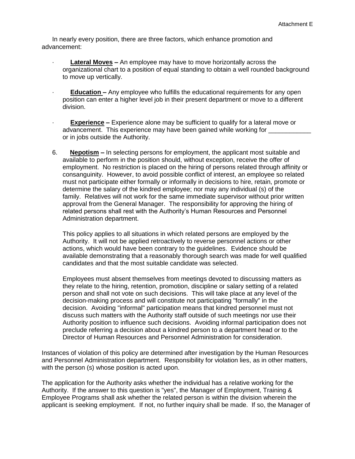In nearly every position, there are three factors, which enhance promotion and advancement:

- **Lateral Moves –** An employee may have to move horizontally across the organizational chart to a position of equal standing to obtain a well rounded background to move up vertically.
- **Education –** Any employee who fulfills the educational requirements for any open position can enter a higher level job in their present department or move to a different division.
- **Experience –** Experience alone may be sufficient to qualify for a lateral move or advancement. This experience may have been gained while working for \_\_\_\_\_\_\_\_\_\_\_\_ or in jobs outside the Authority.
- 6. **Nepotism –** In selecting persons for employment, the applicant most suitable and available to perform in the position should, without exception, receive the offer of employment. No restriction is placed on the hiring of persons related through affinity or consanguinity. However, to avoid possible conflict of interest, an employee so related must not participate either formally or informally in decisions to hire, retain, promote or determine the salary of the kindred employee; nor may any individual (s) of the family. Relatives will not work for the same immediate supervisor without prior written approval from the General Manager. The responsibility for approving the hiring of related persons shall rest with the Authority's Human Resources and Personnel Administration department.

This policy applies to all situations in which related persons are employed by the Authority. It will not be applied retroactively to reverse personnel actions or other actions, which would have been contrary to the guidelines. Evidence should be available demonstrating that a reasonably thorough search was made for well qualified candidates and that the most suitable candidate was selected.

Employees must absent themselves from meetings devoted to discussing matters as they relate to the hiring, retention, promotion, discipline or salary setting of a related person and shall not vote on such decisions. This will take place at any level of the decision-making process and will constitute not participating "formally" in the decision. Avoiding "informal" participation means that kindred personnel must not discuss such matters with the Authority staff outside of such meetings nor use their Authority position to influence such decisions. Avoiding informal participation does not preclude referring a decision about a kindred person to a department head or to the Director of Human Resources and Personnel Administration for consideration.

Instances of violation of this policy are determined after investigation by the Human Resources and Personnel Administration department. Responsibility for violation lies, as in other matters, with the person (s) whose position is acted upon.

The application for the Authority asks whether the individual has a relative working for the Authority. If the answer to this question is "yes", the Manager of Employment, Training & Employee Programs shall ask whether the related person is within the division wherein the applicant is seeking employment. If not, no further inquiry shall be made. If so, the Manager of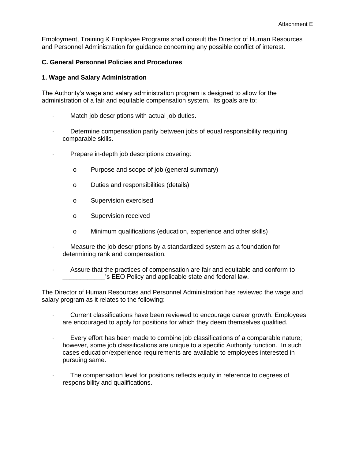Employment, Training & Employee Programs shall consult the Director of Human Resources and Personnel Administration for guidance concerning any possible conflict of interest.

#### **C. General Personnel Policies and Procedures**

#### **1. Wage and Salary Administration**

The Authority's wage and salary administration program is designed to allow for the administration of a fair and equitable compensation system. Its goals are to:

- · Match job descriptions with actual job duties.
- Determine compensation parity between jobs of equal responsibility requiring comparable skills.
- · Prepare in-depth job descriptions covering:
	- o Purpose and scope of job (general summary)
	- o Duties and responsibilities (details)
	- o Supervision exercised
	- o Supervision received
	- o Minimum qualifications (education, experience and other skills)
- Measure the job descriptions by a standardized system as a foundation for determining rank and compensation.
- · Assure that the practices of compensation are fair and equitable and conform to 's EEO Policy and applicable state and federal law.

The Director of Human Resources and Personnel Administration has reviewed the wage and salary program as it relates to the following:

- · Current classifications have been reviewed to encourage career growth. Employees are encouraged to apply for positions for which they deem themselves qualified.
- · Every effort has been made to combine job classifications of a comparable nature; however, some job classifications are unique to a specific Authority function. In such cases education/experience requirements are available to employees interested in pursuing same.
- The compensation level for positions reflects equity in reference to degrees of responsibility and qualifications.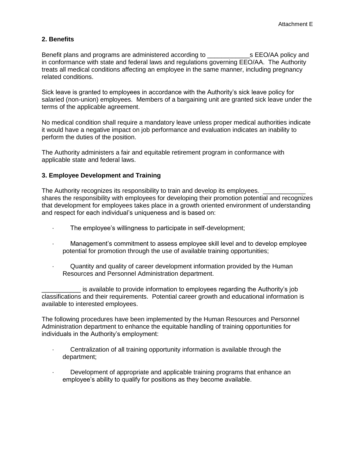# **2. Benefits**

Benefit plans and programs are administered according to **EXAL SHOTA** policy and in conformance with state and federal laws and regulations governing EEO/AA. The Authority treats all medical conditions affecting an employee in the same manner, including pregnancy related conditions.

Sick leave is granted to employees in accordance with the Authority's sick leave policy for salaried (non-union) employees. Members of a bargaining unit are granted sick leave under the terms of the applicable agreement.

No medical condition shall require a mandatory leave unless proper medical authorities indicate it would have a negative impact on job performance and evaluation indicates an inability to perform the duties of the position.

The Authority administers a fair and equitable retirement program in conformance with applicable state and federal laws.

#### **3. Employee Development and Training**

The Authority recognizes its responsibility to train and develop its employees. shares the responsibility with employees for developing their promotion potential and recognizes that development for employees takes place in a growth oriented environment of understanding and respect for each individual's uniqueness and is based on:

- · The employee's willingness to participate in self-development;
- · Management's commitment to assess employee skill level and to develop employee potential for promotion through the use of available training opportunities;
- · Quantity and quality of career development information provided by the Human Resources and Personnel Administration department.

is available to provide information to employees regarding the Authority's job classifications and their requirements. Potential career growth and educational information is available to interested employees.

The following procedures have been implemented by the Human Resources and Personnel Administration department to enhance the equitable handling of training opportunities for individuals in the Authority's employment:

- · Centralization of all training opportunity information is available through the department;
- · Development of appropriate and applicable training programs that enhance an employee's ability to qualify for positions as they become available.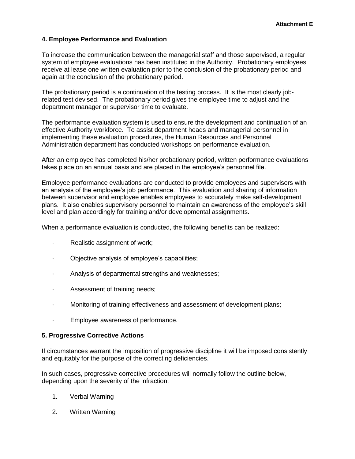### **4. Employee Performance and Evaluation**

To increase the communication between the managerial staff and those supervised, a regular system of employee evaluations has been instituted in the Authority. Probationary employees receive at lease one written evaluation prior to the conclusion of the probationary period and again at the conclusion of the probationary period.

The probationary period is a continuation of the testing process. It is the most clearly jobrelated test devised. The probationary period gives the employee time to adjust and the department manager or supervisor time to evaluate.

The performance evaluation system is used to ensure the development and continuation of an effective Authority workforce. To assist department heads and managerial personnel in implementing these evaluation procedures, the Human Resources and Personnel Administration department has conducted workshops on performance evaluation.

After an employee has completed his/her probationary period, written performance evaluations takes place on an annual basis and are placed in the employee's personnel file.

Employee performance evaluations are conducted to provide employees and supervisors with an analysis of the employee's job performance. This evaluation and sharing of information between supervisor and employee enables employees to accurately make self-development plans. It also enables supervisory personnel to maintain an awareness of the employee's skill level and plan accordingly for training and/or developmental assignments.

When a performance evaluation is conducted, the following benefits can be realized:

- · Realistic assignment of work;
- · Objective analysis of employee's capabilities;
- · Analysis of departmental strengths and weaknesses;
- · Assessment of training needs;
- · Monitoring of training effectiveness and assessment of development plans;
- · Employee awareness of performance.

#### **5. Progressive Corrective Actions**

If circumstances warrant the imposition of progressive discipline it will be imposed consistently and equitably for the purpose of the correcting deficiencies.

In such cases, progressive corrective procedures will normally follow the outline below, depending upon the severity of the infraction:

- 1. Verbal Warning
- 2. Written Warning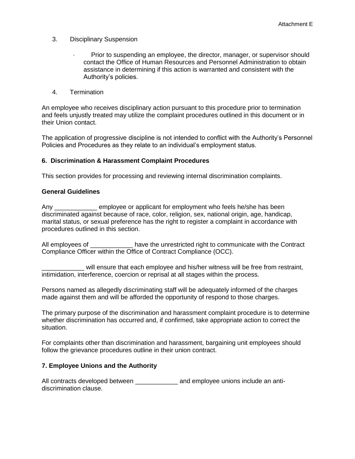- 3. Disciplinary Suspension
	- · Prior to suspending an employee, the director, manager, or supervisor should contact the Office of Human Resources and Personnel Administration to obtain assistance in determining if this action is warranted and consistent with the Authority's policies.
- 4. Termination

An employee who receives disciplinary action pursuant to this procedure prior to termination and feels unjustly treated may utilize the complaint procedures outlined in this document or in their Union contact.

The application of progressive discipline is not intended to conflict with the Authority's Personnel Policies and Procedures as they relate to an individual's employment status.

#### **6. Discrimination & Harassment Complaint Procedures**

This section provides for processing and reviewing internal discrimination complaints.

#### **General Guidelines**

Any employee or applicant for employment who feels he/she has been discriminated against because of race, color, religion, sex, national origin, age, handicap, marital status, or sexual preference has the right to register a complaint in accordance with procedures outlined in this section.

All employees of **Example 2** have the unrestricted right to communicate with the Contract Compliance Officer within the Office of Contract Compliance (OCC).

will ensure that each employee and his/her witness will be free from restraint, intimidation, interference, coercion or reprisal at all stages within the process.

Persons named as allegedly discriminating staff will be adequately informed of the charges made against them and will be afforded the opportunity of respond to those charges.

The primary purpose of the discrimination and harassment complaint procedure is to determine whether discrimination has occurred and, if confirmed, take appropriate action to correct the situation.

For complaints other than discrimination and harassment, bargaining unit employees should follow the grievance procedures outline in their union contract.

#### **7. Employee Unions and the Authority**

All contracts developed between \_\_\_\_\_\_\_\_\_\_\_\_\_ and employee unions include an antidiscrimination clause.